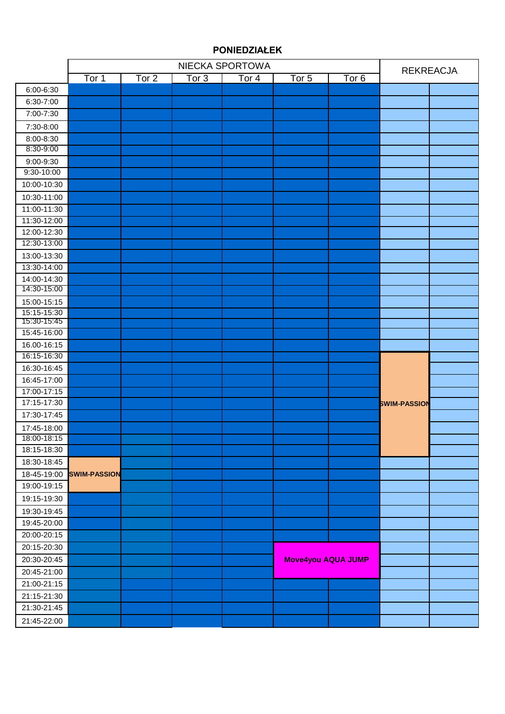#### Tor 1 Tor 2 Tor 3 Tor 4 Tor 5 Tor 6 6:00-6:30 6:30-7:00 7:00-7:30 7:30-8:00 8:00-8:30 8:30-9:00 9:00-9:30 9:30-10:00 10:00-10:30 10:30-11:00 11:00-11:30 11:30-12:00 12:00-12:30 12:30-13:00 13:00-13:30 13:30-14:00 14:00-14:30 14:30-15:00 15:00-15:15 15:15-15:30 15:30-15:45 15:45-16:00 16.00-16:15 16:15-16:30 16:30-16:45 16:45-17:00 17:00-17:15 17:15-17:30 17:30-17:45 17:45-18:00 18:00-18:15 18:15-18:30 18:30-18:45 18-45-19:00 **SWIM-PASSION** 19:00-19:15 19:15-19:30 19:30-19:45 19:45-20:00 20:00-20:15 20:15-20:30 20:30-20:45 20:45-21:00 21:00-21:15 21:15-21:30 21:30-21:45 21:45-22:00 **Move4you AQUA JUMP** NIECKA SPORTOWA<br>
Tor 3 | Tor 4 | Tor 5 | Tor 6 | REKREACJA **SWIM-PASSION**

#### **PONIEDZIAŁEK**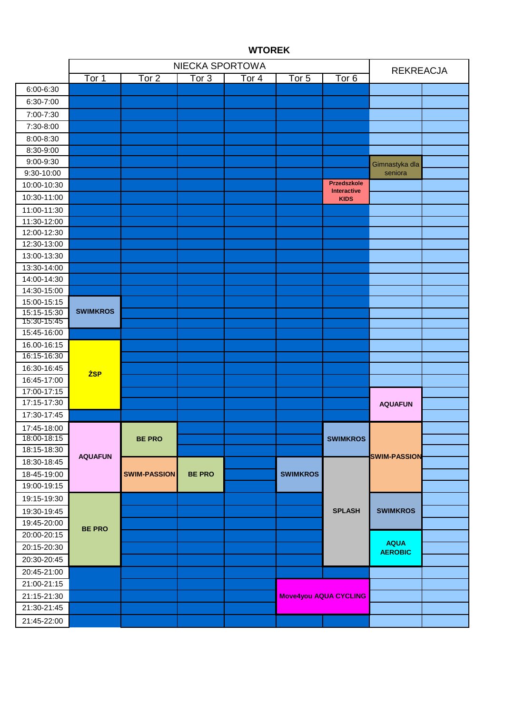|                            |                 | <b>REKREACJA</b>    |               |       |                              |                                   |                     |  |
|----------------------------|-----------------|---------------------|---------------|-------|------------------------------|-----------------------------------|---------------------|--|
|                            | Tor 1           | Tor <sub>2</sub>    | Tor 3         | Tor 4 | Tor <sub>5</sub>             | Tor <sub>6</sub>                  |                     |  |
| 6:00-6:30                  |                 |                     |               |       |                              |                                   |                     |  |
| 6:30-7:00                  |                 |                     |               |       |                              |                                   |                     |  |
| 7:00-7:30                  |                 |                     |               |       |                              |                                   |                     |  |
| 7:30-8:00                  |                 |                     |               |       |                              |                                   |                     |  |
| 8:00-8:30                  |                 |                     |               |       |                              |                                   |                     |  |
| 8:30-9:00                  |                 |                     |               |       |                              |                                   |                     |  |
| 9:00-9:30                  |                 |                     |               |       |                              |                                   | Gimnastyka dla      |  |
| 9:30-10:00                 |                 |                     |               |       |                              |                                   | seniora             |  |
| 10:00-10:30                |                 |                     |               |       |                              | Przedszkole                       |                     |  |
| 10:30-11:00                |                 |                     |               |       |                              | <b>Interactive</b><br><b>KIDS</b> |                     |  |
| 11:00-11:30                |                 |                     |               |       |                              |                                   |                     |  |
| 11:30-12:00                |                 |                     |               |       |                              |                                   |                     |  |
| 12:00-12:30                |                 |                     |               |       |                              |                                   |                     |  |
| 12:30-13:00                |                 |                     |               |       |                              |                                   |                     |  |
| 13:00-13:30                |                 |                     |               |       |                              |                                   |                     |  |
| 13:30-14:00                |                 |                     |               |       |                              |                                   |                     |  |
| 14:00-14:30                |                 |                     |               |       |                              |                                   |                     |  |
| 14:30-15:00                |                 |                     |               |       |                              |                                   |                     |  |
| 15:00-15:15                |                 |                     |               |       |                              |                                   |                     |  |
| 15:15-15:30<br>15:30-15:45 | <b>SWIMKROS</b> |                     |               |       |                              |                                   |                     |  |
| 15:45-16:00                |                 |                     |               |       |                              |                                   |                     |  |
| 16.00-16:15                |                 |                     |               |       |                              |                                   |                     |  |
| 16:15-16:30                |                 |                     |               |       |                              |                                   |                     |  |
| 16:30-16:45                | <b>ŻSP</b>      |                     |               |       |                              |                                   |                     |  |
| 16:45-17:00                |                 |                     |               |       |                              |                                   |                     |  |
| 17:00-17:15                |                 |                     |               |       |                              |                                   |                     |  |
| 17:15-17:30                |                 |                     |               |       |                              |                                   | <b>AQUAFUN</b>      |  |
| 17:30-17:45                |                 |                     |               |       |                              |                                   |                     |  |
| 17:45-18:00                |                 |                     |               |       |                              |                                   |                     |  |
| 18:00-18:15                |                 | <b>BE PRO</b>       |               |       |                              | <b>SWIMKROS</b>                   |                     |  |
| 18:15-18:30                |                 |                     |               |       |                              |                                   |                     |  |
| 18:30-18:45                | <b>AQUAFUN</b>  |                     |               |       |                              |                                   | <b>SWIM-PASSION</b> |  |
| 18-45-19:00                |                 | <b>SWIM-PASSION</b> | <b>BE PRO</b> |       | <b>SWIMKROS</b>              |                                   |                     |  |
| 19:00-19:15                |                 |                     |               |       |                              |                                   |                     |  |
| 19:15-19:30                |                 |                     |               |       |                              |                                   |                     |  |
| 19:30-19:45                |                 |                     |               |       |                              | <b>SPLASH</b>                     | <b>SWIMKROS</b>     |  |
| 19:45-20:00                |                 |                     |               |       |                              |                                   |                     |  |
| 20:00-20:15                | <b>BE PRO</b>   |                     |               |       |                              |                                   |                     |  |
| 20:15-20:30                |                 |                     |               |       |                              |                                   | <b>AQUA</b>         |  |
| 20:30-20:45                |                 |                     |               |       |                              |                                   | <b>AEROBIC</b>      |  |
| 20:45-21:00                |                 |                     |               |       |                              |                                   |                     |  |
| 21:00-21:15                |                 |                     |               |       |                              |                                   |                     |  |
| 21:15-21:30                |                 |                     |               |       | <b>Move4you AQUA CYCLING</b> |                                   |                     |  |
| 21:30-21:45                |                 |                     |               |       |                              |                                   |                     |  |
| 21:45-22:00                |                 |                     |               |       |                              |                                   |                     |  |

# **WTOREK**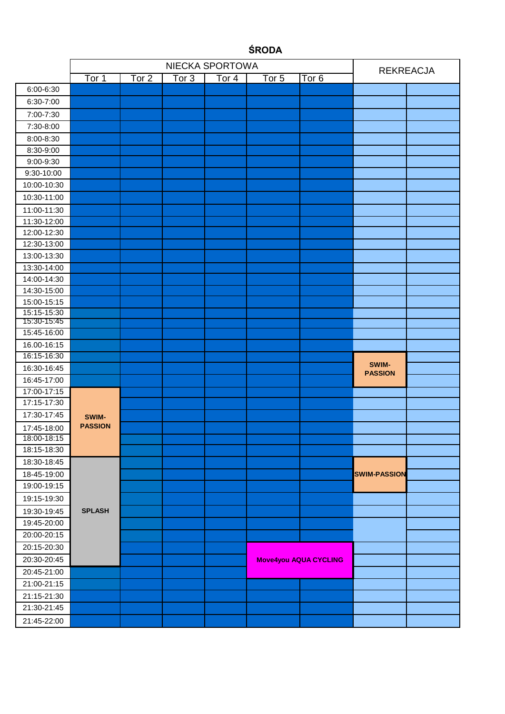|                            |                         |       | <b>REKREACJA</b> |                     |                     |                              |                     |  |
|----------------------------|-------------------------|-------|------------------|---------------------|---------------------|------------------------------|---------------------|--|
|                            | Tor 1                   | Tor 2 | Tor <sub>3</sub> | $\overline{T}$ or 4 | $\overline{T}$ or 5 | Tor <sub>6</sub>             |                     |  |
| 6:00-6:30                  |                         |       |                  |                     |                     |                              |                     |  |
| 6:30-7:00                  |                         |       |                  |                     |                     |                              |                     |  |
| 7:00-7:30                  |                         |       |                  |                     |                     |                              |                     |  |
| 7:30-8:00                  |                         |       |                  |                     |                     |                              |                     |  |
| 8:00-8:30                  |                         |       |                  |                     |                     |                              |                     |  |
| 8:30-9:00                  |                         |       |                  |                     |                     |                              |                     |  |
| 9:00-9:30                  |                         |       |                  |                     |                     |                              |                     |  |
| 9:30-10:00                 |                         |       |                  |                     |                     |                              |                     |  |
| 10:00-10:30                |                         |       |                  |                     |                     |                              |                     |  |
| 10:30-11:00                |                         |       |                  |                     |                     |                              |                     |  |
| 11:00-11:30                |                         |       |                  |                     |                     |                              |                     |  |
| 11:30-12:00                |                         |       |                  |                     |                     |                              |                     |  |
| 12:00-12:30                |                         |       |                  |                     |                     |                              |                     |  |
| 12:30-13:00                |                         |       |                  |                     |                     |                              |                     |  |
| 13:00-13:30                |                         |       |                  |                     |                     |                              |                     |  |
| 13:30-14:00                |                         |       |                  |                     |                     |                              |                     |  |
| 14:00-14:30                |                         |       |                  |                     |                     |                              |                     |  |
| 14:30-15:00                |                         |       |                  |                     |                     |                              |                     |  |
| 15:00-15:15                |                         |       |                  |                     |                     |                              |                     |  |
| 15:15-15:30                |                         |       |                  |                     |                     |                              |                     |  |
| 15:30-15:45                |                         |       |                  |                     |                     |                              |                     |  |
| 15:45-16:00<br>16.00-16:15 |                         |       |                  |                     |                     |                              |                     |  |
| 16:15-16:30                |                         |       |                  |                     |                     |                              |                     |  |
| 16:30-16:45                |                         |       |                  |                     |                     |                              | SWIM-               |  |
| 16:45-17:00                |                         |       |                  |                     |                     |                              | <b>PASSION</b>      |  |
| 17:00-17:15                |                         |       |                  |                     |                     |                              |                     |  |
| 17:15-17:30                |                         |       |                  |                     |                     |                              |                     |  |
| 17:30-17:45                |                         |       |                  |                     |                     |                              |                     |  |
| 17:45-18:00                | SWIM-<br><b>PASSION</b> |       |                  |                     |                     |                              |                     |  |
| 18:00-18:15                |                         |       |                  |                     |                     |                              |                     |  |
| 18:15-18:30                |                         |       |                  |                     |                     |                              |                     |  |
| 18:30-18:45                |                         |       |                  |                     |                     |                              |                     |  |
| 18-45-19:00                |                         |       |                  |                     |                     |                              | <b>SWIM-PASSION</b> |  |
| 19:00-19:15                |                         |       |                  |                     |                     |                              |                     |  |
| 19:15-19:30                |                         |       |                  |                     |                     |                              |                     |  |
| 19:30-19:45                | <b>SPLASH</b>           |       |                  |                     |                     |                              |                     |  |
| 19:45-20:00                |                         |       |                  |                     |                     |                              |                     |  |
| 20:00-20:15                |                         |       |                  |                     |                     |                              |                     |  |
| 20:15-20:30                |                         |       |                  |                     |                     |                              |                     |  |
| 20:30-20:45                |                         |       |                  |                     |                     | <b>Move4you AQUA CYCLING</b> |                     |  |
| 20:45-21:00                |                         |       |                  |                     |                     |                              |                     |  |
| 21:00-21:15                |                         |       |                  |                     |                     |                              |                     |  |
| 21:15-21:30                |                         |       |                  |                     |                     |                              |                     |  |
| 21:30-21:45                |                         |       |                  |                     |                     |                              |                     |  |
|                            |                         |       |                  |                     |                     |                              |                     |  |
| 21:45-22:00                |                         |       |                  |                     |                     |                              |                     |  |

# **ŚRODA**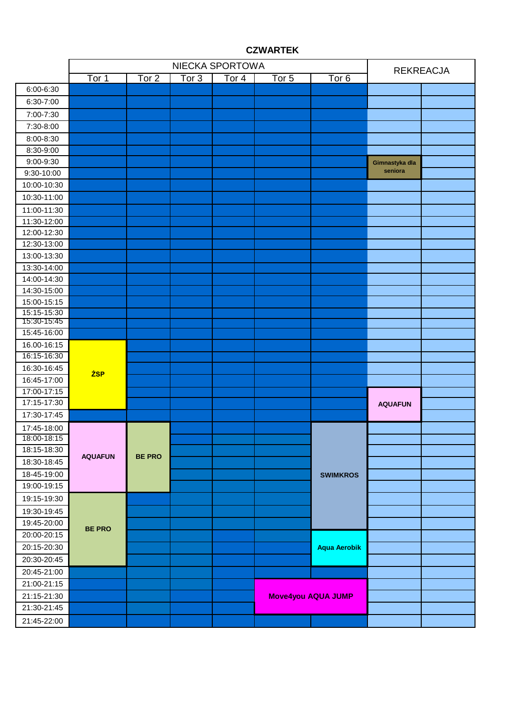|                            |                | <b>REKREACJA</b> |         |                            |                  |                           |                |  |
|----------------------------|----------------|------------------|---------|----------------------------|------------------|---------------------------|----------------|--|
|                            | Tor 1          | Tor 2            | Tor $3$ | $\overline{\text{Tor } 4}$ | Tor <sub>5</sub> | Tor <sub>6</sub>          |                |  |
| 6:00-6:30                  |                |                  |         |                            |                  |                           |                |  |
| 6:30-7:00                  |                |                  |         |                            |                  |                           |                |  |
| 7:00-7:30                  |                |                  |         |                            |                  |                           |                |  |
| 7:30-8:00                  |                |                  |         |                            |                  |                           |                |  |
| 8:00-8:30                  |                |                  |         |                            |                  |                           |                |  |
| 8:30-9:00                  |                |                  |         |                            |                  |                           |                |  |
| 9:00-9:30                  |                |                  |         |                            |                  |                           | Gimnastyka dla |  |
| 9:30-10:00                 |                |                  |         |                            |                  |                           | seniora        |  |
| 10:00-10:30                |                |                  |         |                            |                  |                           |                |  |
| 10:30-11:00                |                |                  |         |                            |                  |                           |                |  |
| 11:00-11:30                |                |                  |         |                            |                  |                           |                |  |
| 11:30-12:00                |                |                  |         |                            |                  |                           |                |  |
| 12:00-12:30                |                |                  |         |                            |                  |                           |                |  |
| 12:30-13:00                |                |                  |         |                            |                  |                           |                |  |
| 13:00-13:30                |                |                  |         |                            |                  |                           |                |  |
| 13:30-14:00                |                |                  |         |                            |                  |                           |                |  |
| 14:00-14:30                |                |                  |         |                            |                  |                           |                |  |
| 14:30-15:00                |                |                  |         |                            |                  |                           |                |  |
| 15:00-15:15                |                |                  |         |                            |                  |                           |                |  |
| 15:15-15:30                |                |                  |         |                            |                  |                           |                |  |
| 15:30-15:45                |                |                  |         |                            |                  |                           |                |  |
| 15:45-16:00<br>16.00-16:15 |                |                  |         |                            |                  |                           |                |  |
| 16:15-16:30                |                |                  |         |                            |                  |                           |                |  |
| 16:30-16:45                | <b>ŻSP</b>     |                  |         |                            |                  |                           |                |  |
| 16:45-17:00                |                |                  |         |                            |                  |                           |                |  |
| 17:00-17:15                |                |                  |         |                            |                  |                           |                |  |
| 17:15-17:30                |                |                  |         |                            |                  |                           | <b>AQUAFUN</b> |  |
| 17:30-17:45                |                |                  |         |                            |                  |                           |                |  |
|                            |                |                  |         |                            |                  |                           |                |  |
| 17:45-18:00<br>18:00-18:15 |                |                  |         |                            |                  |                           |                |  |
| 18:15-18:30                |                |                  |         |                            |                  |                           |                |  |
| 18:30-18:45                | <b>AQUAFUN</b> | <b>BE PRO</b>    |         |                            |                  |                           |                |  |
| 18-45-19:00                |                |                  |         |                            |                  | <b>SWIMKROS</b>           |                |  |
| 19:00-19:15                |                |                  |         |                            |                  |                           |                |  |
| 19:15-19:30                |                |                  |         |                            |                  |                           |                |  |
|                            |                |                  |         |                            |                  |                           |                |  |
| 19:30-19:45<br>19:45-20:00 |                |                  |         |                            |                  |                           |                |  |
|                            | <b>BE PRO</b>  |                  |         |                            |                  |                           |                |  |
| 20:00-20:15                |                |                  |         |                            |                  |                           |                |  |
| 20:15-20:30                |                |                  |         |                            |                  | <b>Aqua Aerobik</b>       |                |  |
| 20:30-20:45                |                |                  |         |                            |                  |                           |                |  |
| 20:45-21:00                |                |                  |         |                            |                  |                           |                |  |
| 21:00-21:15                |                |                  |         |                            |                  |                           |                |  |
| 21:15-21:30                |                |                  |         |                            |                  | <b>Move4you AQUA JUMP</b> |                |  |
| 21:30-21:45                |                |                  |         |                            |                  |                           |                |  |
| 21:45-22:00                |                |                  |         |                            |                  |                           |                |  |

#### **CZWARTEK**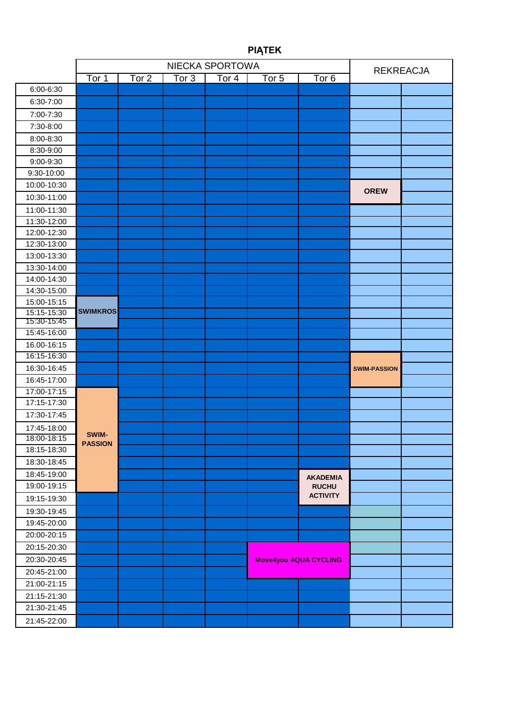|                            |                     |       | <b>REKREACJA</b> |       |                  |                              |                     |  |
|----------------------------|---------------------|-------|------------------|-------|------------------|------------------------------|---------------------|--|
|                            | $\overline{T}$ or 1 | Tor 2 | Tor 3            | Tor 4 | Tor <sub>5</sub> | $\overline{Tor}$ 6           |                     |  |
| 6:00-6:30                  |                     |       |                  |       |                  |                              |                     |  |
| 6:30-7:00                  |                     |       |                  |       |                  |                              |                     |  |
| 7:00-7:30                  |                     |       |                  |       |                  |                              |                     |  |
| 7:30-8:00                  |                     |       |                  |       |                  |                              |                     |  |
| 8:00-8:30                  |                     |       |                  |       |                  |                              |                     |  |
| 8:30-9:00                  |                     |       |                  |       |                  |                              |                     |  |
| 9:00-9:30                  |                     |       |                  |       |                  |                              |                     |  |
| 9:30-10:00                 |                     |       |                  |       |                  |                              |                     |  |
| 10:00-10:30                |                     |       |                  |       |                  |                              |                     |  |
| 10:30-11:00                |                     |       |                  |       |                  |                              | <b>OREW</b>         |  |
| 11:00-11:30                |                     |       |                  |       |                  |                              |                     |  |
| 11:30-12:00                |                     |       |                  |       |                  |                              |                     |  |
| 12:00-12:30                |                     |       |                  |       |                  |                              |                     |  |
| 12:30-13:00                |                     |       |                  |       |                  |                              |                     |  |
| 13:00-13:30                |                     |       |                  |       |                  |                              |                     |  |
| 13:30-14:00                |                     |       |                  |       |                  |                              |                     |  |
| 14:00-14:30                |                     |       |                  |       |                  |                              |                     |  |
| 14:30-15:00                |                     |       |                  |       |                  |                              |                     |  |
| 15:00-15:15                |                     |       |                  |       |                  |                              |                     |  |
| 15:15-15:30<br>15:30-15:45 | <b>SWIMKROS</b>     |       |                  |       |                  |                              |                     |  |
| 15:45-16:00                |                     |       |                  |       |                  |                              |                     |  |
| 16.00-16:15                |                     |       |                  |       |                  |                              |                     |  |
| 16:15-16:30                |                     |       |                  |       |                  |                              |                     |  |
| 16:30-16:45                |                     |       |                  |       |                  |                              | <b>SWIM-PASSION</b> |  |
| 16:45-17:00                |                     |       |                  |       |                  |                              |                     |  |
| 17:00-17:15                |                     |       |                  |       |                  |                              |                     |  |
| 17:15-17:30                |                     |       |                  |       |                  |                              |                     |  |
| 17:30-17:45                |                     |       |                  |       |                  |                              |                     |  |
| 17:45-18:00                |                     |       |                  |       |                  |                              |                     |  |
| 18:00-18:15                | SWIM-               |       |                  |       |                  |                              |                     |  |
| 18:15-18:30                | <b>PASSION</b>      |       |                  |       |                  |                              |                     |  |
| 18:30-18:45                |                     |       |                  |       |                  |                              |                     |  |
| 18:45-19:00                |                     |       |                  |       |                  | <b>AKADEMIA</b>              |                     |  |
| 19:00-19:15                |                     |       |                  |       |                  | <b>RUCHU</b>                 |                     |  |
| 19:15-19:30                |                     |       |                  |       |                  | <b>ACTIVITY</b>              |                     |  |
| 19:30-19:45                |                     |       |                  |       |                  |                              |                     |  |
| 19:45-20:00                |                     |       |                  |       |                  |                              |                     |  |
| 20:00-20:15                |                     |       |                  |       |                  |                              |                     |  |
| 20:15-20:30                |                     |       |                  |       |                  |                              |                     |  |
| 20:30-20:45                |                     |       |                  |       |                  | <b>Move4you AQUA CYCLING</b> |                     |  |
| 20:45-21:00                |                     |       |                  |       |                  |                              |                     |  |
| 21:00-21:15                |                     |       |                  |       |                  |                              |                     |  |
| 21:15-21:30                |                     |       |                  |       |                  |                              |                     |  |
| 21:30-21:45                |                     |       |                  |       |                  |                              |                     |  |
| 21:45-22:00                |                     |       |                  |       |                  |                              |                     |  |
|                            |                     |       |                  |       |                  |                              |                     |  |

# **PIĄTEK**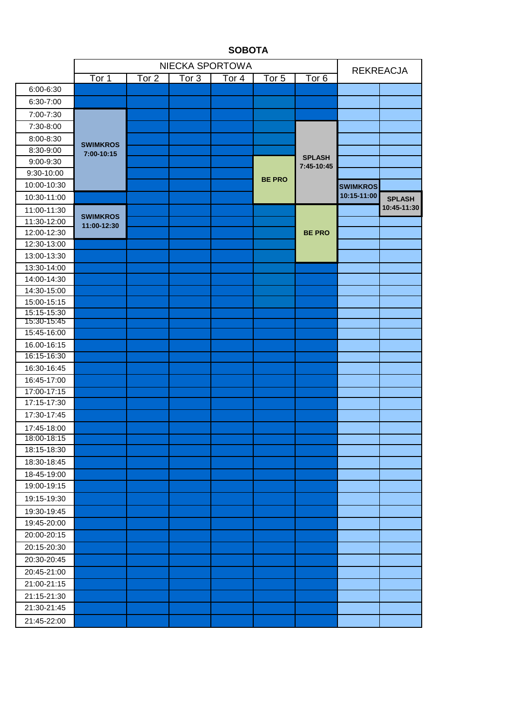|                            |                                | <b>REKREACJA</b> |       |                     |                  |                             |                 |               |
|----------------------------|--------------------------------|------------------|-------|---------------------|------------------|-----------------------------|-----------------|---------------|
|                            | $\overline{T}$ or 1            | Tor 2            | Tor 3 | $\overline{T}$ or 4 | Tor <sub>5</sub> | Tor 6                       |                 |               |
| 6:00-6:30                  |                                |                  |       |                     |                  |                             |                 |               |
| 6:30-7:00                  |                                |                  |       |                     |                  |                             |                 |               |
| 7:00-7:30                  |                                |                  |       |                     |                  |                             |                 |               |
| 7:30-8:00                  |                                |                  |       |                     |                  |                             |                 |               |
| 8:00-8:30                  | <b>SWIMKROS</b><br>7:00-10:15  |                  |       |                     |                  |                             |                 |               |
| 8:30-9:00                  |                                |                  |       |                     |                  | <b>SPLASH</b><br>7:45-10:45 |                 |               |
| 9:00-9:30                  |                                |                  |       |                     |                  |                             |                 |               |
| 9:30-10:00                 |                                |                  |       |                     |                  |                             |                 |               |
| 10:00-10:30                |                                |                  |       |                     | <b>BE PRO</b>    |                             | <b>SWIMKROS</b> |               |
| 10:30-11:00                |                                |                  |       |                     |                  |                             | 10:15-11:00     | <b>SPLASH</b> |
| 11:00-11:30                |                                |                  |       |                     |                  |                             |                 | 10:45-11:30   |
| 11:30-12:00                | <b>SWIMKROS</b><br>11:00-12:30 |                  |       |                     |                  |                             |                 |               |
| 12:00-12:30                |                                |                  |       |                     |                  | <b>BE PRO</b>               |                 |               |
| 12:30-13:00                |                                |                  |       |                     |                  |                             |                 |               |
| 13:00-13:30                |                                |                  |       |                     |                  |                             |                 |               |
| 13:30-14:00                |                                |                  |       |                     |                  |                             |                 |               |
| 14:00-14:30                |                                |                  |       |                     |                  |                             |                 |               |
| 14:30-15:00                |                                |                  |       |                     |                  |                             |                 |               |
| 15:00-15:15                |                                |                  |       |                     |                  |                             |                 |               |
| 15:15-15:30<br>15:30-15:45 |                                |                  |       |                     |                  |                             |                 |               |
| 15:45-16:00                |                                |                  |       |                     |                  |                             |                 |               |
| 16.00-16:15                |                                |                  |       |                     |                  |                             |                 |               |
| 16:15-16:30                |                                |                  |       |                     |                  |                             |                 |               |
| 16:30-16:45                |                                |                  |       |                     |                  |                             |                 |               |
| 16:45-17:00                |                                |                  |       |                     |                  |                             |                 |               |
| 17:00-17:15                |                                |                  |       |                     |                  |                             |                 |               |
| 17:15-17:30                |                                |                  |       |                     |                  |                             |                 |               |
| 17:30-17:45                |                                |                  |       |                     |                  |                             |                 |               |
| 17:45-18:00                |                                |                  |       |                     |                  |                             |                 |               |
| 18:00-18:15                |                                |                  |       |                     |                  |                             |                 |               |
| 18:15-18:30                |                                |                  |       |                     |                  |                             |                 |               |
| 18:30-18:45                |                                |                  |       |                     |                  |                             |                 |               |
| 18-45-19:00                |                                |                  |       |                     |                  |                             |                 |               |
| 19:00-19:15                |                                |                  |       |                     |                  |                             |                 |               |
| 19:15-19:30                |                                |                  |       |                     |                  |                             |                 |               |
| 19:30-19:45                |                                |                  |       |                     |                  |                             |                 |               |
| 19:45-20:00                |                                |                  |       |                     |                  |                             |                 |               |
| 20:00-20:15                |                                |                  |       |                     |                  |                             |                 |               |
| 20:15-20:30                |                                |                  |       |                     |                  |                             |                 |               |
| 20:30-20:45                |                                |                  |       |                     |                  |                             |                 |               |
| 20:45-21:00                |                                |                  |       |                     |                  |                             |                 |               |
| 21:00-21:15                |                                |                  |       |                     |                  |                             |                 |               |
| 21:15-21:30                |                                |                  |       |                     |                  |                             |                 |               |
| 21:30-21:45                |                                |                  |       |                     |                  |                             |                 |               |
| 21:45-22:00                |                                |                  |       |                     |                  |                             |                 |               |
|                            |                                |                  |       |                     |                  |                             |                 |               |

### **SOBOTA**